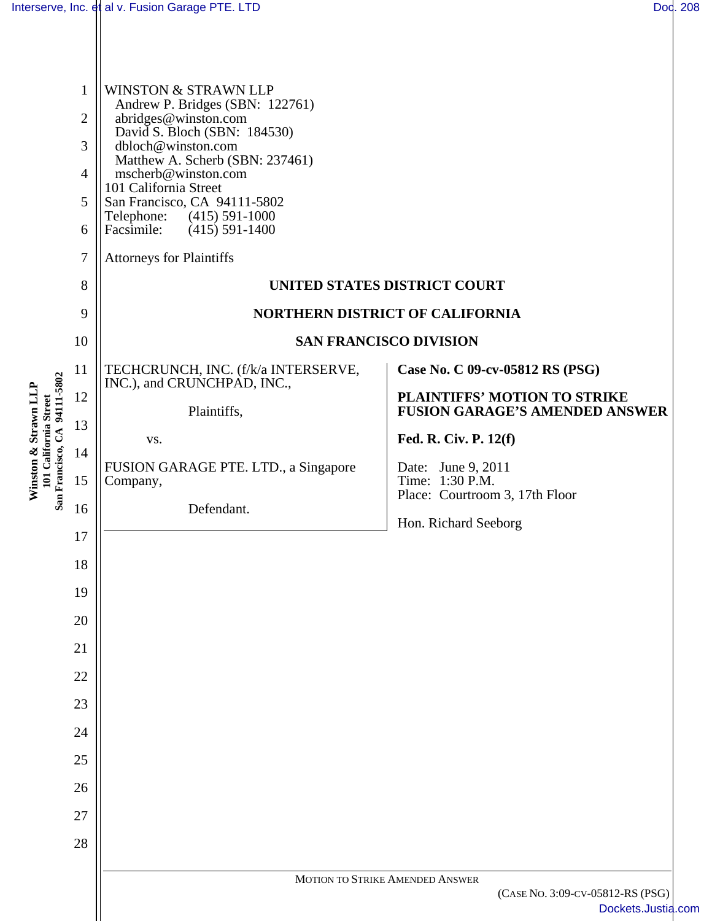Ш

| 94111-5802<br>Winston & Strawn LLP<br>101 California Street<br>San Francisco, CA | $\mathbf{1}$<br>$\mathbf{2}$<br>3<br>$\overline{4}$<br>5<br>6<br>$\overline{7}$<br>8<br>9<br>10          | <b>WINSTON &amp; STRAWN LLP</b><br>Andrew P. Bridges (SBN: 122761)<br>abridges@winston.com<br>David S. Bloch (SBN: 184530)<br>dbloch@winston.com<br>Matthew A. Scherb (SBN: 237461)<br>mscherb@winston.com<br>101 California Street<br>San Francisco, CA 94111-5802<br>Telephone:<br>$(415) 591-1000$<br>Facsimile:<br>$(415) 591 - 1400$<br><b>Attorneys for Plaintiffs</b> | UNITED STATES DISTRICT COURT<br><b>NORTHERN DISTRICT OF CALIFORNIA</b><br><b>SAN FRANCISCO DIVISION</b>                                                                                                                              |
|----------------------------------------------------------------------------------|----------------------------------------------------------------------------------------------------------|------------------------------------------------------------------------------------------------------------------------------------------------------------------------------------------------------------------------------------------------------------------------------------------------------------------------------------------------------------------------------|--------------------------------------------------------------------------------------------------------------------------------------------------------------------------------------------------------------------------------------|
|                                                                                  | 11<br>12<br>13<br>14<br>15<br>16<br>17<br>18<br>19<br>20<br>21<br>22<br>23<br>24<br>25<br>26<br>27<br>28 | TECHCRUNCH, INC. (f/k/a INTERSERVE,<br>INC.), and CRUNCHPAD, INC.,<br>Plaintiffs,<br>VS.<br>FUSION GARAGE PTE. LTD., a Singapore<br>Company,<br>Defendant.                                                                                                                                                                                                                   | Case No. C 09-cv-05812 RS (PSG)<br>PLAINTIFFS' MOTION TO STRIKE<br><b>FUSION GARAGE'S AMENDED ANSWER</b><br>Fed. R. Civ. P. 12(f)<br>Date: June 9, 2011<br>Time: 1:30 P.M.<br>Place: Courtroom 3, 17th Floor<br>Hon. Richard Seeborg |
|                                                                                  |                                                                                                          |                                                                                                                                                                                                                                                                                                                                                                              | MOTION TO STRIKE AMENDED ANSWER<br>(CASE No. 3:09-CV-05812-RS (PSG)<br>Dockets.Justia.com                                                                                                                                            |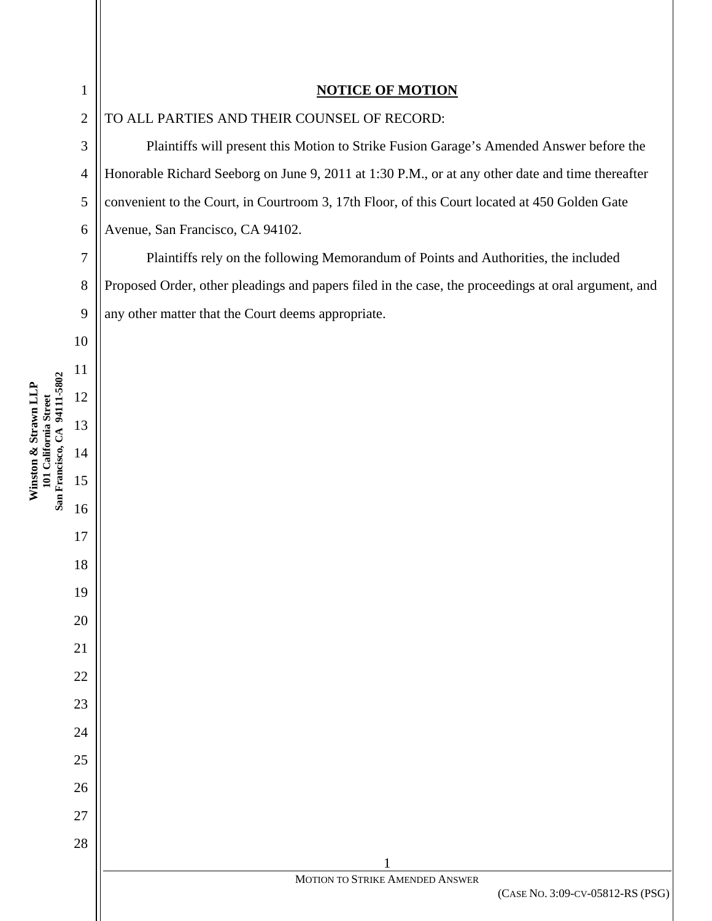**Winston & Strawn LLP** 

# **NOTICE OF MOTION**

TO ALL PARTIES AND THEIR COUNSEL OF RECORD:

Plaintiffs will present this Motion to Strike Fusion Garage's Amended Answer before the Honorable Richard Seeborg on June 9, 2011 at 1:30 P.M., or at any other date and time thereafter convenient to the Court, in Courtroom 3, 17th Floor, of this Court located at 450 Golden Gate Avenue, San Francisco, CA 94102.

Plaintiffs rely on the following Memorandum of Points and Authorities, the included Proposed Order, other pleadings and papers filed in the case, the proceedings at oral argument, and any other matter that the Court deems appropriate.

> MOTION TO STRIKE AMENDED ANSWER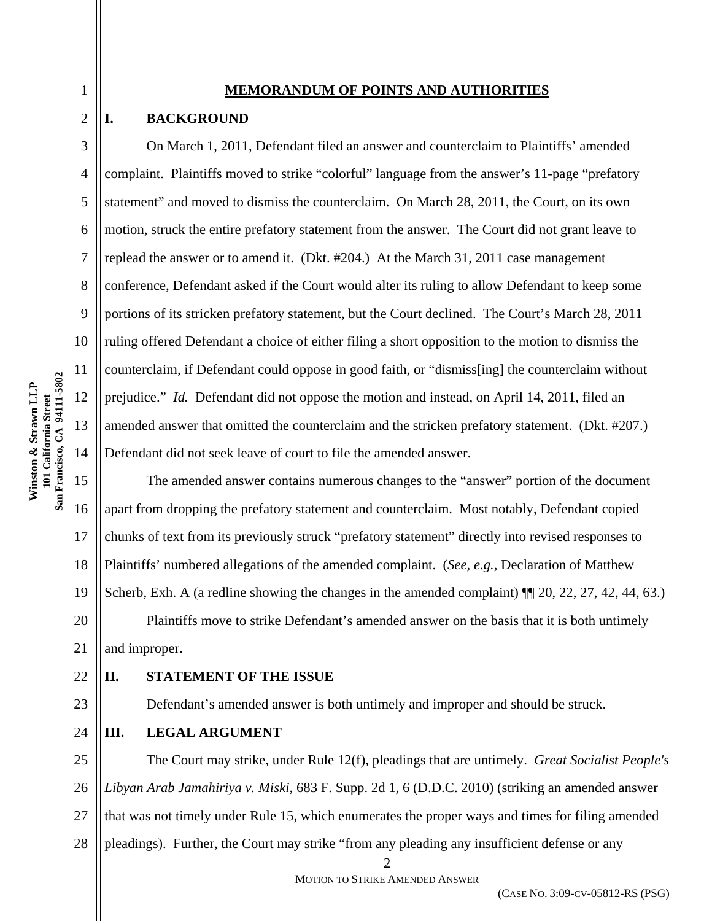### **MEMORANDUM OF POINTS AND AUTHORITIES**

# **I. BACKGROUND**

1

2

3

4

5

6

7

8

9

10

On March 1, 2011, Defendant filed an answer and counterclaim to Plaintiffs' amended complaint. Plaintiffs moved to strike "colorful" language from the answer's 11-page "prefatory statement" and moved to dismiss the counterclaim. On March 28, 2011, the Court, on its own motion, struck the entire prefatory statement from the answer. The Court did not grant leave to replead the answer or to amend it. (Dkt. #204.) At the March 31, 2011 case management conference, Defendant asked if the Court would alter its ruling to allow Defendant to keep some portions of its stricken prefatory statement, but the Court declined. The Court's March 28, 2011 ruling offered Defendant a choice of either filing a short opposition to the motion to dismiss the counterclaim, if Defendant could oppose in good faith, or "dismiss[ing] the counterclaim without prejudice." *Id.* Defendant did not oppose the motion and instead, on April 14, 2011, filed an amended answer that omitted the counterclaim and the stricken prefatory statement. (Dkt. #207.) Defendant did not seek leave of court to file the amended answer.

15 16 17 18 19 20 21 The amended answer contains numerous changes to the "answer" portion of the document apart from dropping the prefatory statement and counterclaim. Most notably, Defendant copied chunks of text from its previously struck "prefatory statement" directly into revised responses to Plaintiffs' numbered allegations of the amended complaint. (*See, e.g.*, Declaration of Matthew Scherb, Exh. A (a redline showing the changes in the amended complaint)  $\P$  20, 22, 27, 42, 44, 63.) Plaintiffs move to strike Defendant's amended answer on the basis that it is both untimely and improper.

# **II. STATEMENT OF THE ISSUE**

Defendant's amended answer is both untimely and improper and should be struck.

# **III. LEGAL ARGUMENT**

25 26 27 28 The Court may strike, under Rule 12(f), pleadings that are untimely. *Great Socialist People's Libyan Arab Jamahiriya v. Miski*, 683 F. Supp. 2d 1, 6 (D.D.C. 2010) (striking an amended answer that was not timely under Rule 15, which enumerates the proper ways and times for filing amended pleadings). Further, the Court may strike "from any pleading any insufficient defense or any

2